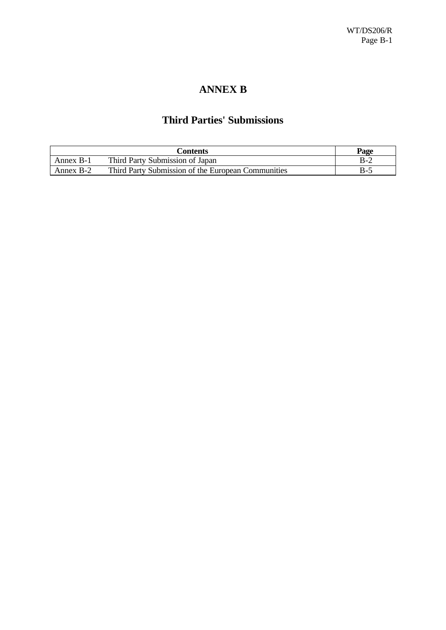# **ANNEX B**

## **Third Parties' Submissions**

|           | Contents                                           | Page    |
|-----------|----------------------------------------------------|---------|
| Annex B-1 | Third Party Submission of Japan                    | B-2     |
| Annex B-2 | Third Party Submission of the European Communities | $B - 2$ |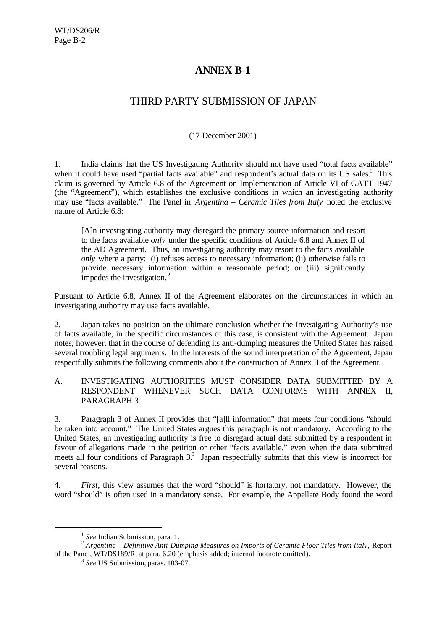## **ANNEX B-1**

# THIRD PARTY SUBMISSION OF JAPAN

### (17 December 2001)

1. India claims that the US Investigating Authority should not have used "total facts available" when it could have used "partial facts available" and respondent's actual data on its US sales.<sup>1</sup> This claim is governed by Article 6.8 of the Agreement on Implementation of Article VI of GATT 1947 (the "Agreement"), which establishes the exclusive conditions in which an investigating authority may use "facts available." The Panel in *Argentina – Ceramic Tiles from Italy* noted the exclusive nature of Article 6.8:

[A]n investigating authority may disregard the primary source information and resort to the facts available *only* under the specific conditions of Article 6.8 and Annex II of the AD Agreement. Thus, an investigating authority may resort to the facts available *only* where a party: (i) refuses access to necessary information; (ii) otherwise fails to provide necessary information within a reasonable period; or (iii) significantly impedes the investigation. <sup>2</sup>

Pursuant to Article 6.8, Annex II of the Agreement elaborates on the circumstances in which an investigating authority may use facts available.

2. Japan takes no position on the ultimate conclusion whether the Investigating Authority's use of facts available, in the specific circumstances of this case, is consistent with the Agreement. Japan notes, however, that in the course of defending its anti-dumping measures the United States has raised several troubling legal arguments. In the interests of the sound interpretation of the Agreement, Japan respectfully submits the following comments about the construction of Annex II of the Agreement.

#### A. INVESTIGATING AUTHORITIES MUST CONSIDER DATA SUBMITTED BY A RESPONDENT WHENEVER SUCH DATA CONFORMS WITH ANNEX II, PARAGRAPH 3

3. Paragraph 3 of Annex II provides that "[a]ll information" that meets four conditions "should be taken into account." The United States argues this paragraph is not mandatory. According to the United States, an investigating authority is free to disregard actual data submitted by a respondent in favour of allegations made in the petition or other "facts available," even when the data submitted meets all four conditions of Paragraph 3.<sup>3</sup> Japan respectfully submits that this view is incorrect for several reasons.

4. *First,* this view assumes that the word "should" is hortatory, not mandatory. However, the word "should" is often used in a mandatory sense. For example, the Appellate Body found the word

l

<sup>&</sup>lt;sup>1</sup> See Indian Submission, para. 1.

<sup>2</sup> *Argentina – Definitive Anti-Dumping Measures on Imports of Ceramic Floor Tiles from Italy*, Report of the Panel, WT/DS189/R*,* at para. 6.20 (emphasis added; internal footnote omitted).

<sup>3</sup> *See* US Submission, paras. 103-07.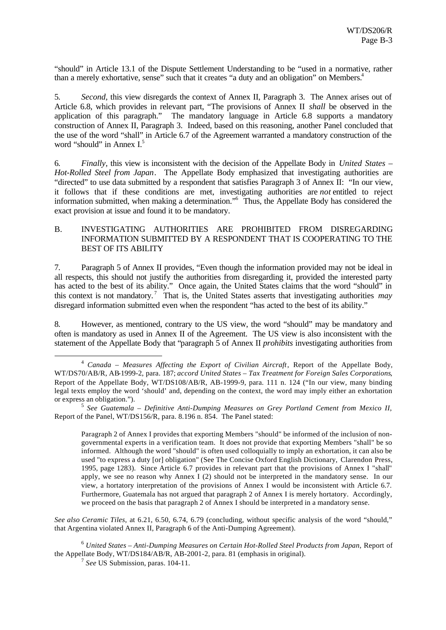"should" in Article 13.1 of the Dispute Settlement Understanding to be "used in a normative, rather than a merely exhortative, sense" such that it creates "a duty and an obligation" on Members.<sup>4</sup>

5. *Second,* this view disregards the context of Annex II, Paragraph 3. The Annex arises out of Article 6.8, which provides in relevant part, "The provisions of Annex II *shall* be observed in the application of this paragraph." The mandatory language in Article 6.8 supports a mandatory construction of Annex II, Paragraph 3. Indeed, based on this reasoning, another Panel concluded that the use of the word "shall" in Article 6.7 of the Agreement warranted a mandatory construction of the word "should" in Annex I.<sup>5</sup>

6. *Finally,* this view is inconsistent with the decision of the Appellate Body in *United States – Hot-Rolled Steel from Japan*. The Appellate Body emphasized that investigating authorities are "directed" to use data submitted by a respondent that satisfies Paragraph 3 of Annex II: "In our view, it follows that if these conditions are met, investigating authorities are *not* entitled to reject information submitted, when making a determination."<sup>6</sup> Thus, the Appellate Body has considered the exact provision at issue and found it to be mandatory.

### B. INVESTIGATING AUTHORITIES ARE PROHIBITED FROM DISREGARDING INFORMATION SUBMITTED BY A RESPONDENT THAT IS COOPERATING TO THE BEST OF ITS ABILITY

7. Paragraph 5 of Annex II provides, "Even though the information provided may not be ideal in all respects, this should not justify the authorities from disregarding it, provided the interested party has acted to the best of its ability." Once again, the United States claims that the word "should" in this context is not mandatory. <sup>7</sup> That is, the United States asserts that investigating authorities *may* disregard information submitted even when the respondent "has acted to the best of its ability."

8. However, as mentioned, contrary to the US view, the word "should" may be mandatory and often is mandatory as used in Annex II of the Agreement. The US view is also inconsistent with the statement of the Appellate Body that "paragraph 5 of Annex II *prohibits* investigating authorities from

Paragraph 2 of Annex I provides that exporting Members "should" be informed of the inclusion of nongovernmental experts in a verification team. It does not provide that exporting Members "shall" be so informed. Although the word "should" is often used colloquially to imply an exhortation, it can also be used "to express a duty [or] obligation" (See The Concise Oxford English Dictionary, Clarendon Press, 1995, page 1283). Since Article 6.7 provides in relevant part that the provisions of Annex I "shall" apply, we see no reason why Annex I (2) should not be interpreted in the mandatory sense. In our view, a hortatory interpretation of the provisions of Annex I would be inconsistent with Article 6.7. Furthermore, Guatemala has not argued that paragraph 2 of Annex I is merely hortatory. Accordingly, we proceed on the basis that paragraph 2 of Annex I should be interpreted in a mandatory sense.

*See also Ceramic Tiles*, at 6.21, 6.50, 6.74, 6.79 (concluding, without specific analysis of the word "should," that Argentina violated Annex II, Paragraph 6 of the Anti-Dumping Agreement).

<sup>6</sup> *United States – Anti-Dumping Measures on Certain Hot-Rolled Steel Products from Japan*, Report of the Appellate Body, WT/DS184/AB/R, AB-2001-2, para. 81 (emphasis in original).

7 *See* US Submission, paras. 104-11.

l

<sup>&</sup>lt;sup>4</sup> *Canada – Measures Affecting the Export of Civilian Aircraft*, Report of the Appellate Body, WT/DS70/AB/R, AB-1999-2, para. 187; *accord United States – Tax Treatment for Foreign Sales Corporations*, Report of the Appellate Body, WT/DS108/AB/R, AB-1999-9, para. 111 n. 124 ("In our view, many binding legal texts employ the word 'should' and, depending on the context, the word may imply either an exhortation or express an obligation.").

<sup>5</sup> *See Guatemala – Definitive Anti-Dumping Measures on Grey Portland Cement from Mexico II*, Report of the Panel, WT/DS156/R, para. 8.196 n. 854. The Panel stated: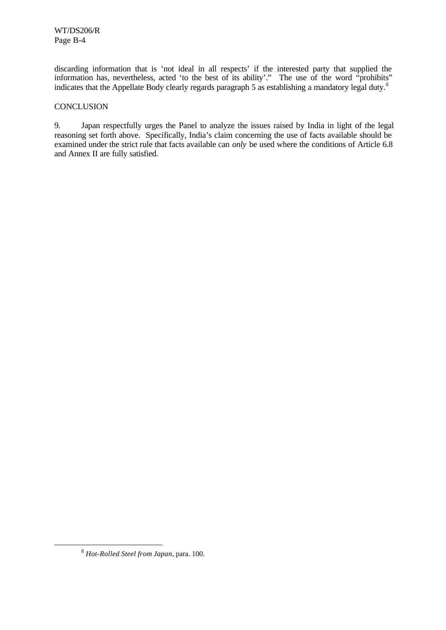discarding information that is 'not ideal in all respects' if the interested party that supplied the information has, nevertheless, acted 'to the best of its ability'." The use of the word "prohibits" indicates that the Appellate Body clearly regards paragraph 5 as establishing a mandatory legal duty.<sup>8</sup>

#### **CONCLUSION**

9. Japan respectfully urges the Panel to analyze the issues raised by India in light of the legal reasoning set forth above. Specifically, India's claim concerning the use of facts available should be examined under the strict rule that facts available can *only* be used where the conditions of Article 6.8 and Annex II are fully satisfied.

l

<sup>8</sup> *Hot-Rolled Steel from Japan*, para. 100.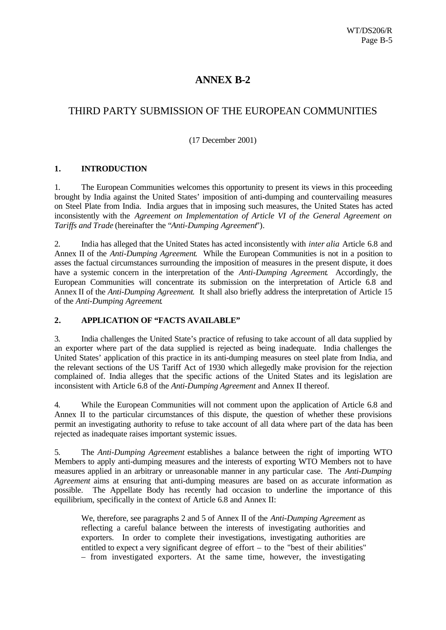### **ANNEX B-2**

### THIRD PARTY SUBMISSION OF THE EUROPEAN COMMUNITIES

### (17 December 2001)

#### **1. INTRODUCTION**

1. The European Communities welcomes this opportunity to present its views in this proceeding brought by India against the United States' imposition of anti-dumping and countervailing measures on Steel Plate from India. India argues that in imposing such measures, the United States has acted inconsistently with the *Agreement on Implementation of Article VI of the General Agreement on Tariffs and Trade* (hereinafter the "*Anti-Dumping Agreement*").

2. India has alleged that the United States has acted inconsistently with *inter alia* Article 6.8 and Annex II of the *Anti-Dumping Agreement*. While the European Communities is not in a position to asses the factual circumstances surrounding the imposition of measures in the present dispute, it does have a systemic concern in the interpretation of the *Anti-Dumping Agreement*. Accordingly, the European Communities will concentrate its submission on the interpretation of Article 6.8 and Annex II of the *Anti-Dumping Agreement*. It shall also briefly address the interpretation of Article 15 of the *Anti-Dumping Agreement*.

#### **2. APPLICATION OF "FACTS AVAILABLE"**

3. India challenges the United State's practice of refusing to take account of all data supplied by an exporter where part of the data supplied is rejected as being inadequate. India challenges the United States' application of this practice in its anti-dumping measures on steel plate from India, and the relevant sections of the US Tariff Act of 1930 which allegedly make provision for the rejection complained of. India alleges that the specific actions of the United States and its legislation are inconsistent with Article 6.8 of the *Anti-Dumping Agreement* and Annex II thereof.

4. While the European Communities will not comment upon the application of Article 6.8 and Annex II to the particular circumstances of this dispute, the question of whether these provisions permit an investigating authority to refuse to take account of all data where part of the data has been rejected as inadequate raises important systemic issues.

5. The *Anti-Dumping Agreement* establishes a balance between the right of importing WTO Members to apply anti-dumping measures and the interests of exporting WTO Members not to have measures applied in an arbitrary or unreasonable manner in any particular case. The *Anti-Dumping Agreement* aims at ensuring that anti-dumping measures are based on as accurate information as possible. The Appellate Body has recently had occasion to underline the importance of this equilibrium, specifically in the context of Article 6.8 and Annex II:

We, therefore, see paragraphs 2 and 5 of Annex II of the *Anti-Dumping Agreement* as reflecting a careful balance between the interests of investigating authorities and exporters. In order to complete their investigations, investigating authorities are entitled to expect a very significant degree of effort – to the "best of their abilities" – from investigated exporters. At the same time, however, the investigating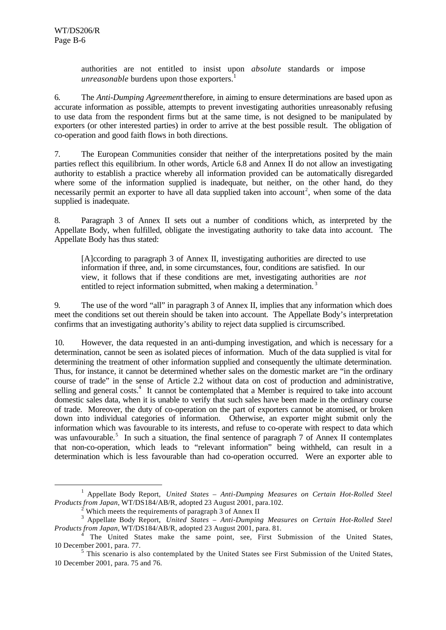l

authorities are not entitled to insist upon *absolute* standards or impose *unreasonable* burdens upon those exporters.<sup>1</sup>

6. The *Anti-Dumping Agreement* therefore, in aiming to ensure determinations are based upon as accurate information as possible, attempts to prevent investigating authorities unreasonably refusing to use data from the respondent firms but at the same time, is not designed to be manipulated by exporters (or other interested parties) in order to arrive at the best possible result. The obligation of co-operation and good faith flows in both directions.

7. The European Communities consider that neither of the interpretations posited by the main parties reflect this equilibrium. In other words, Article 6.8 and Annex II do not allow an investigating authority to establish a practice whereby all information provided can be automatically disregarded where some of the information supplied is inadequate, but neither, on the other hand, do they necessarily permit an exporter to have all data supplied taken into account<sup>2</sup>, when some of the data supplied is inadequate.

8. Paragraph 3 of Annex II sets out a number of conditions which, as interpreted by the Appellate Body, when fulfilled, obligate the investigating authority to take data into account. The Appellate Body has thus stated:

[A]ccording to paragraph 3 of Annex II, investigating authorities are directed to use information if three, and, in some circumstances, four, conditions are satisfied. In our view, it follows that if these conditions are met, investigating authorities are *not* entitled to reject information submitted, when making a determination.<sup>3</sup>

9. The use of the word "all" in paragraph 3 of Annex II, implies that any information which does meet the conditions set out therein should be taken into account. The Appellate Body's interpretation confirms that an investigating authority's ability to reject data supplied is circumscribed.

10. However, the data requested in an anti-dumping investigation, and which is necessary for a determination, cannot be seen as isolated pieces of information. Much of the data supplied is vital for determining the treatment of other information supplied and consequently the ultimate determination. Thus, for instance, it cannot be determined whether sales on the domestic market are "in the ordinary course of trade" in the sense of Article 2.2 without data on cost of production and administrative, selling and general costs.<sup>4</sup> It cannot be contemplated that a Member is required to take into account domestic sales data, when it is unable to verify that such sales have been made in the ordinary course of trade. Moreover, the duty of co-operation on the part of exporters cannot be atomised, or broken down into individual categories of information. Otherwise, an exporter might submit only the information which was favourable to its interests, and refuse to co-operate with respect to data which was unfavourable.<sup>5</sup> In such a situation, the final sentence of paragraph 7 of Annex II contemplates that non-co-operation, which leads to "relevant information" being withheld, can result in a determination which is less favourable than had co-operation occurred. Were an exporter able to

<sup>&</sup>lt;sup>1</sup> Appellate Body Report, *United States - Anti-Dumping Measures on Certain Hot-Rolled Steel Products from Japan*, WT/DS184/AB/R, adopted 23 August 2001, para.102.

 $^2$  Which meets the requirements of paragraph 3 of Annex II

<sup>3</sup> Appellate Body Report, *United States – Anti-Dumping Measures on Certain Hot-Rolled Steel Products from Japan*, WT/DS184/AB/R, adopted 23 August 2001, para. 81.

<sup>4</sup> The United States make the same point, see, First Submission of the United States, 10 December 2001, para. 77.

<sup>&</sup>lt;sup>5</sup> This scenario is also contemplated by the United States see First Submission of the United States, 10 December 2001, para. 75 and 76.